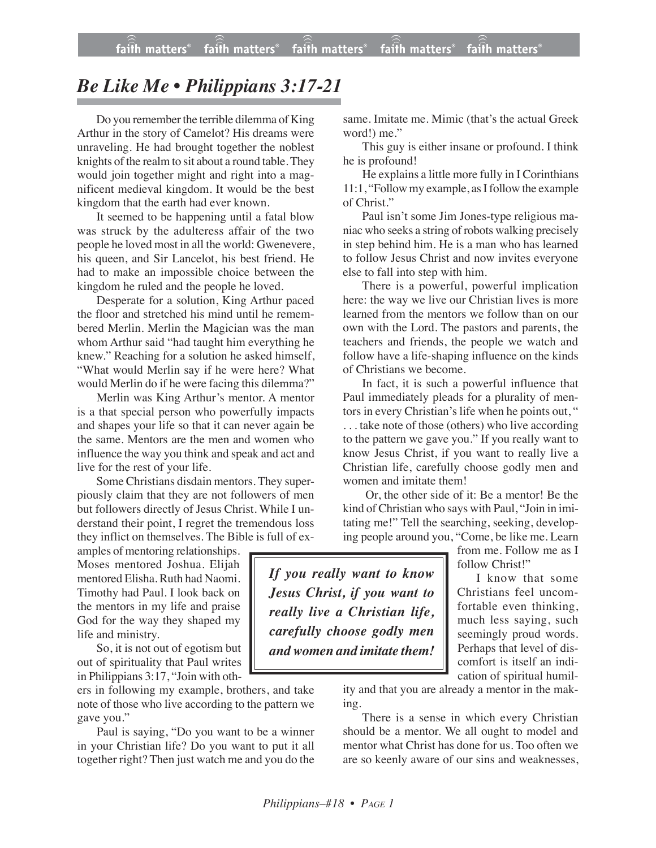## *Be Like Me • Philippians 3:17-21*

Do you remember the terrible dilemma of King Arthur in the story of Camelot? His dreams were unraveling. He had brought together the noblest knights of the realm to sit about a round table.They would join together might and right into a magnificent medieval kingdom. It would be the best kingdom that the earth had ever known.

It seemed to be happening until a fatal blow was struck by the adulteress affair of the two people he loved most in all the world: Gwenevere, his queen, and Sir Lancelot, his best friend. He had to make an impossible choice between the kingdom he ruled and the people he loved.

Desperate for a solution, King Arthur paced the floor and stretched his mind until he remembered Merlin. Merlin the Magician was the man whom Arthur said "had taught him everything he knew." Reaching for a solution he asked himself, "What would Merlin say if he were here? What would Merlin do if he were facing this dilemma?"

Merlin was King Arthur's mentor. A mentor is a that special person who powerfully impacts and shapes your life so that it can never again be the same. Mentors are the men and women who influence the way you think and speak and act and live for the rest of your life.

Some Christians disdain mentors. They superpiously claim that they are not followers of men but followers directly of Jesus Christ. While I understand their point, I regret the tremendous loss they inflict on themselves. The Bible is full of ex-

amples of mentoring relationships. Moses mentored Joshua. Elijah mentored Elisha. Ruth had Naomi. Timothy had Paul. I look back on the mentors in my life and praise God for the way they shaped my life and ministry.

So, it is not out of egotism but out of spirituality that Paul writes in Philippians 3:17, "Join with oth-

ers in following my example, brothers, and take note of those who live according to the pattern we gave you."

Paul is saying, "Do you want to be a winner in your Christian life? Do you want to put it all together right? Then just watch me and you do the same. Imitate me. Mimic (that's the actual Greek word!) me."

This guy is either insane or profound. I think he is profound!

He explains a little more fully in I Corinthians 11:1, "Followmy example, as I follow the example of Christ."

Paul isn't some Jim Jones-type religious maniac who seeks a string of robots walking precisely in step behind him. He is a man who has learned to follow Jesus Christ and now invites everyone else to fall into step with him.

There is a powerful, powerful implication here: the way we live our Christian lives is more learned from the mentors we follow than on our own with the Lord. The pastors and parents, the teachers and friends, the people we watch and follow have a life-shaping influence on the kinds of Christians we become.

In fact, it is such a powerful influence that Paul immediately pleads for a plurality of mentors in every Christian's life when he points out, " . . . take note of those (others) who live according to the pattern we gave you." If you really want to know Jesus Christ, if you want to really live a Christian life, carefully choose godly men and women and imitate them!

Or, the other side of it: Be a mentor! Be the kind of Christian who says with Paul, "Join in imitating me!" Tell the searching, seeking, developing people around you, "Come, be like me. Learn

> from me. Follow me as I follow Christ!"

*If you really want to know Jesus Christ, if you want to really live a Christian life, carefully choose godly men and women and imitate them!*

I know that some Christians feel uncomfortable even thinking,

much less saying, such seemingly proud words. Perhaps that level of discomfort is itself an indication of spiritual humil-

ity and that you are already a mentor in the making.

There is a sense in which every Christian should be a mentor. We all ought to model and mentor what Christ has done for us. Too often we are so keenly aware of our sins and weaknesses,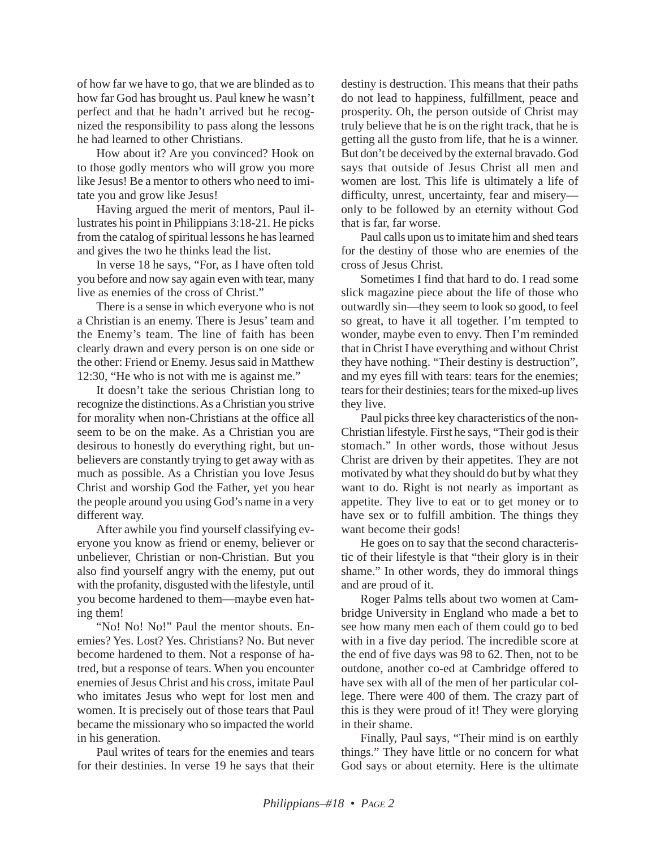of how far we have to go, that we are blinded as to how far God has brought us. Paul knew he wasn't perfect and that he hadn't arrived but he recognized the responsibility to pass along the lessons he had learned to other Christians.

How about it? Are you convinced? Hook on to those godly mentors who will grow you more like Jesus! Be a mentor to others who need to imitate you and grow like Jesus!

Having argued the merit of mentors, Paul illustrates his point in Philippians 3:18-21. He picks from the catalog of spiritual lessons he has learned and gives the two he thinks lead the list.

In verse 18 he says, "For, as I have often told you before and now say again even with tear, many live as enemies of the cross of Christ."

There is a sense in which everyone who is not a Christian is an enemy. There is Jesus' team and the Enemy's team. The line of faith has been clearly drawn and every person is on one side or the other: Friend or Enemy. Jesus said in Matthew 12:30, "He who is not with me is against me."

It doesn't take the serious Christian long to recognize the distinctions. As a Christian you strive for morality when non-Christians at the office all seem to be on the make. As a Christian you are desirous to honestly do everything right, but unbelievers are constantly trying to get away with as much as possible. As a Christian you love Jesus Christ and worship God the Father, yet you hear the people around you using God's name in a very different way.

After awhile you find yourself classifying everyone you know as friend or enemy, believer or unbeliever, Christian or non-Christian. But you also find yourself angry with the enemy, put out with the profanity, disgusted with the lifestyle, until you become hardened to them—maybe even hating them!

"No! No! No!" Paul the mentor shouts. Enemies? Yes. Lost? Yes. Christians? No. But never become hardened to them. Not a response of hatred, but a response of tears. When you encounter enemies of Jesus Christ and his cross, imitate Paul who imitates Jesus who wept for lost men and women. It is precisely out of those tears that Paul became the missionary who so impacted the world in his generation.

Paul writes of tears for the enemies and tears for their destinies. In verse 19 he says that their destiny is destruction. This means that their paths do not lead to happiness, fulfillment, peace and prosperity. Oh, the person outside of Christ may truly believe that he is on the right track, that he is getting all the gusto from life, that he is a winner. But don't be deceived by the external bravado. God says that outside of Jesus Christ all men and women are lost. This life is ultimately a life of difficulty, unrest, uncertainty, fear and misery only to be followed by an eternity without God that is far, far worse.

Paul calls upon us to imitate him and shed tears for the destiny of those who are enemies of the cross of Jesus Christ.

Sometimes I find that hard to do. I read some slick magazine piece about the life of those who outwardly sin—they seem to look so good, to feel so great, to have it all together. I'm tempted to wonder, maybe even to envy. Then I'm reminded that in Christ I have everything and without Christ they have nothing. "Their destiny is destruction", and my eyes fill with tears: tears for the enemies; tears for their destinies; tears for the mixed-up lives they live.

Paul picks three key characteristics of the non-Christian lifestyle. First he says, "Their god is their stomach." In other words, those without Jesus Christ are driven by their appetites. They are not motivated by what they should do but by what they want to do. Right is not nearly as important as appetite. They live to eat or to get money or to have sex or to fulfill ambition. The things they want become their gods!

He goes on to say that the second characteristic of their lifestyle is that "their glory is in their shame." In other words, they do immoral things and are proud of it.

Roger Palms tells about two women at Cambridge University in England who made a bet to see how many men each of them could go to bed with in a five day period. The incredible score at the end of five days was 98 to 62. Then, not to be outdone, another co-ed at Cambridge offered to have sex with all of the men of her particular college. There were 400 of them. The crazy part of this is they were proud of it! They were glorying in their shame.

Finally, Paul says, "Their mind is on earthly things." They have little or no concern for what God says or about eternity. Here is the ultimate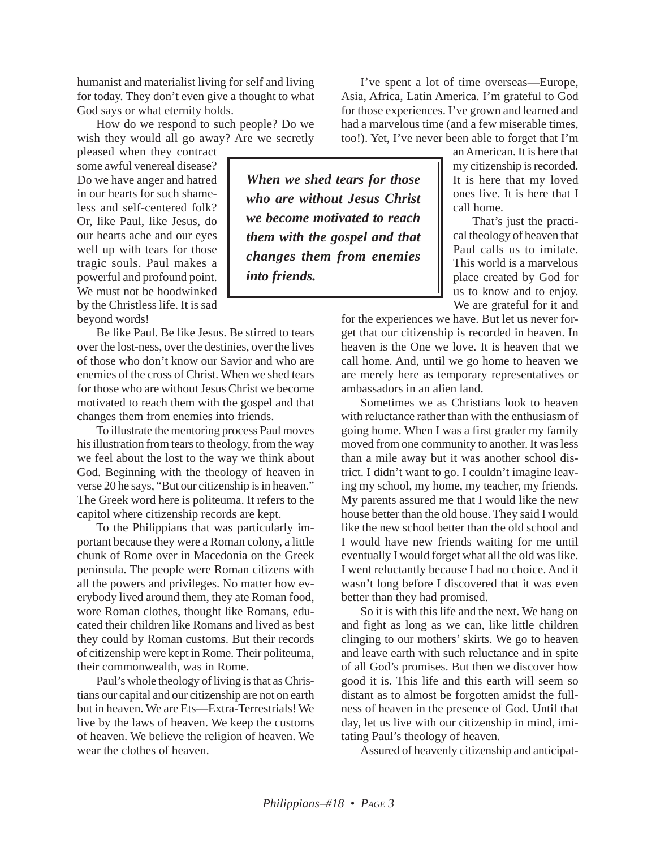humanist and materialist living for self and living for today. They don't even give a thought to what God says or what eternity holds.

How do we respond to such people? Do we wish they would all go away? Are we secretly

pleased when they contract some awful venereal disease? Do we have anger and hatred in our hearts for such shameless and self-centered folk? Or, like Paul, like Jesus, do our hearts ache and our eyes well up with tears for those tragic souls. Paul makes a powerful and profound point. We must not be hoodwinked by the Christless life. It is sad beyond words!

Be like Paul. Be like Jesus. Be stirred to tears over the lost-ness, over the destinies, over the lives of those who don't know our Savior and who are enemies of the cross of Christ. When we shed tears for those who are without Jesus Christ we become motivated to reach them with the gospel and that changes them from enemies into friends.

To illustrate the mentoring process Paul moves his illustration from tears to theology, from the way we feel about the lost to the way we think about God. Beginning with the theology of heaven in verse 20 he says, "But our citizenship is in heaven." The Greek word here is politeuma. It refers to the capitol where citizenship records are kept.

To the Philippians that was particularly important because they were a Roman colony, a little chunk of Rome over in Macedonia on the Greek peninsula. The people were Roman citizens with all the powers and privileges. No matter how everybody lived around them, they ate Roman food, wore Roman clothes, thought like Romans, educated their children like Romans and lived as best they could by Roman customs. But their records of citizenship were kept in Rome. Their politeuma, their commonwealth, was in Rome.

Paul's whole theology of living is that as Christians our capital and our citizenship are not on earth but in heaven. We are Ets—Extra-Terrestrials! We live by the laws of heaven. We keep the customs of heaven. We believe the religion of heaven. We wear the clothes of heaven.

*When we shed tears for those who are without Jesus Christ we become motivated to reach them with the gospel and that changes them from enemies into friends.*

I've spent a lot of time overseas—Europe, Asia, Africa, Latin America. I'm grateful to God for those experiences. I've grown and learned and had a marvelous time (and a few miserable times, too!). Yet, I've never been able to forget that I'm

> an American. It is here that my citizenship is recorded. It is here that my loved ones live. It is here that I call home.

> That's just the practical theology of heaven that Paul calls us to imitate. This world is a marvelous place created by God for us to know and to enjoy. We are grateful for it and

for the experiences we have. But let us never forget that our citizenship is recorded in heaven. In heaven is the One we love. It is heaven that we call home. And, until we go home to heaven we are merely here as temporary representatives or ambassadors in an alien land.

Sometimes we as Christians look to heaven with reluctance rather than with the enthusiasm of going home. When I was a first grader my family moved from one community to another. It was less than a mile away but it was another school district. I didn't want to go. I couldn't imagine leaving my school, my home, my teacher, my friends. My parents assured me that I would like the new house better than the old house. They said I would like the new school better than the old school and I would have new friends waiting for me until eventually I would forget what all the old was like. I went reluctantly because I had no choice. And it wasn't long before I discovered that it was even better than they had promised.

So it is with this life and the next. We hang on and fight as long as we can, like little children clinging to our mothers' skirts. We go to heaven and leave earth with such reluctance and in spite of all God's promises. But then we discover how good it is. This life and this earth will seem so distant as to almost be forgotten amidst the fullness of heaven in the presence of God. Until that day, let us live with our citizenship in mind, imitating Paul's theology of heaven.

Assured of heavenly citizenship and anticipat-